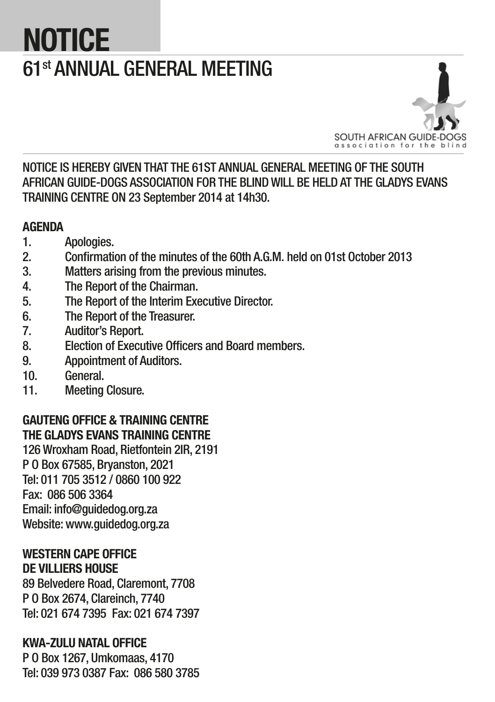# **NOTICE** 61st ANNUAL GENERAL MEETING



NOTICE IS HEREBY GIVEN THAT THE 61ST ANNUAL GENERAL MEETING OF THE SOUTH AFRICAN GUIDE-DOGS ASSOCIATION FOR THE BLIND WILL BE HELD AT THE GLADYS EVANS TRAINING CENTRE ON 23 September 2014 at 14h30.

# **AGENDA**

- 1. Apologies.
- 2. Confirmation of the minutes of the 60th A.G.M. held on 01st October 2013
- 3. Matters arising from the previous minutes.
- 4. The Report of the Chairman.
- 5. The Report of the Interim Executive Director.
- 6. The Report of the Treasurer.
- 7. Auditor's Report.
- 8. Election of Executive Officers and Board members.
- 9. Appointment of Auditors.
- 10. General.
- 11. Meeting Closure.

# GAUTENG OFFICE & TRAINING CENTRE THE GLADYS EVANS TRAINING CENTRE

126 Wroxham Road, Rietfontein 2IR, 2191 P O Box 67585, Bryanston, 2021 Tel: 011 705 3512 / 0860 100 922 Fax: 086 506 3364 Email: info@guidedog.org.za Website: www.guidedog.org.za

## WESTERN CAPE OFFICE DE VILLIERS HOUSE

89 Belvedere Road, Claremont, 7708 P O Box 2674, Clareinch, 7740 Tel: 021 674 7395 Fax: 021 674 7397

# KWA-ZULU NATAL OFFICE

P O Box 1267, Umkomaas, 4170 Tel: 039 973 0387 Fax: 086 580 3785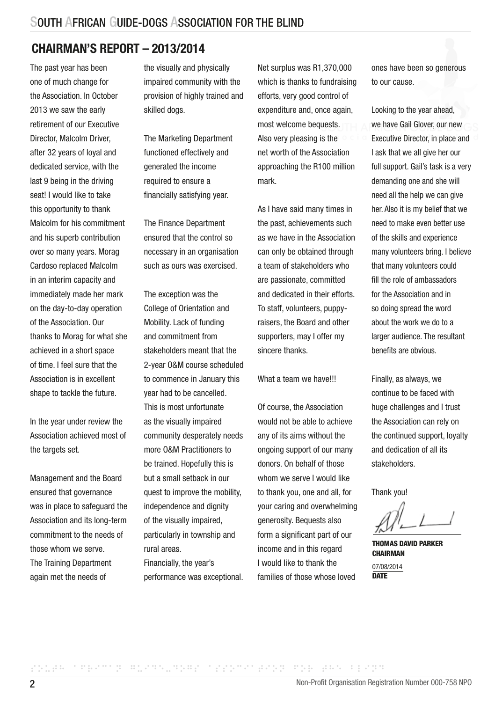# CHAIRMAN'S REPORT – 2013/2014

The past year has been one of much change for the Association. In October 2013 we saw the early retirement of our Executive Director, Malcolm Driver, after 32 years of loyal and dedicated service, with the last 9 being in the driving seat! I would like to take this opportunity to thank Malcolm for his commitment and his superb contribution over so many years. Morag Cardoso replaced Malcolm in an interim capacity and immediately made her mark on the day-to-day operation of the Association. Our thanks to Morag for what she achieved in a short space of time. I feel sure that the Association is in excellent shape to tackle the future.

In the year under review the Association achieved most of the targets set.

Management and the Board ensured that governance was in place to safeguard the Association and its long-term commitment to the needs of those whom we serve. The Training Department again met the needs of

the visually and physically impaired community with the provision of highly trained and skilled dogs.

The Marketing Department functioned effectively and generated the income required to ensure a financially satisfying year.

The Finance Department ensured that the control so necessary in an organisation such as ours was exercised.

The exception was the College of Orientation and Mobility. Lack of funding and commitment from stakeholders meant that the 2-year O&M course scheduled to commence in January this year had to be cancelled. This is most unfortunate as the visually impaired community desperately needs more O&M Practitioners to be trained. Hopefully this is but a small setback in our quest to improve the mobility, independence and dignity of the visually impaired, particularly in township and rural areas. Financially, the year's performance was exceptional.

Net surplus was R1,370,000 which is thanks to fundraising efforts, very good control of expenditure and, once again, most welcome bequests. Also very pleasing is the net worth of the Association approaching the R100 million mark.

As I have said many times in the past, achievements such as we have in the Association can only be obtained through a team of stakeholders who are passionate, committed and dedicated in their efforts. To staff, volunteers, puppyraisers, the Board and other supporters, may I offer my sincere thanks.

What a team we have!!!

Of course, the Association would not be able to achieve any of its aims without the ongoing support of our many donors. On behalf of those whom we serve I would like to thank you, one and all, for your caring and overwhelming generosity. Bequests also form a significant part of our income and in this regard I would like to thank the families of those whose loved

ones have been so generous to our cause.

Looking to the year ahead, we have Gail Glover, our new Executive Director, in place and I ask that we all give her our full support. Gail's task is a very demanding one and she will need all the help we can give her. Also it is my belief that we need to make even better use of the skills and experience many volunteers bring. I believe that many volunteers could fill the role of ambassadors for the Association and in so doing spread the word about the work we do to a larger audience. The resultant benefits are obvious.

Finally, as always, we continue to be faced with huge challenges and I trust the Association can rely on the continued support, loyalty and dedication of all its stakeholders.

Thank you!

THOMAS DAVID PARKER **CHAIRMAN** 07/08/2014 **DATE**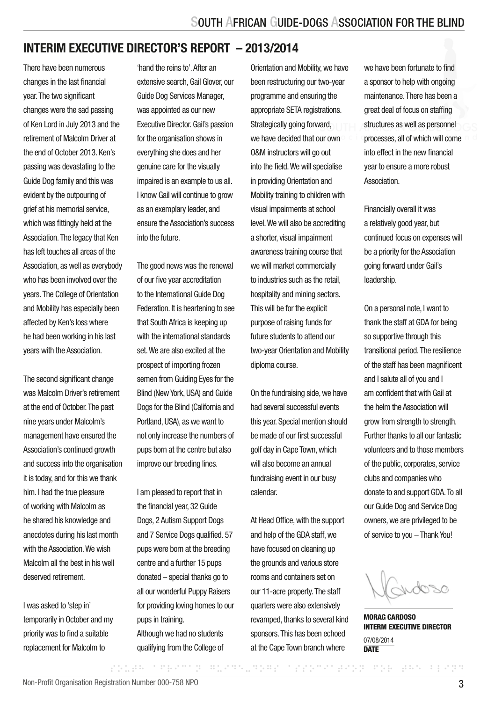# INTERIM EXECUTIVE DIRECTOR'S REPORT – 2013/2014

There have been numerous changes in the last financial year. The two significant changes were the sad passing of Ken Lord in July 2013 and the retirement of Malcolm Driver at the end of October 2013. Ken's passing was devastating to the Guide Dog family and this was evident by the outpouring of grief at his memorial service. which was fittingly held at the Association. The legacy that Ken has left touches all areas of the Association, as well as everybody who has been involved over the years. The College of Orientation and Mobility has especially been affected by Ken's loss where he had been working in his last years with the Association.

The second significant change was Malcolm Driver's retirement at the end of October. The past nine years under Malcolm's management have ensured the Association's continued growth and success into the organisation it is today, and for this we thank him. I had the true pleasure of working with Malcolm as he shared his knowledge and anecdotes during his last month with the Association. We wish Malcolm all the best in his well deserved retirement.

I was asked to 'step in' temporarily in October and my priority was to find a suitable replacement for Malcolm to

'hand the reins to'. After an extensive search, Gail Glover, our Guide Dog Services Manager, was appointed as our new Executive Director. Gail's passion for the organisation shows in everything she does and her genuine care for the visually impaired is an example to us all. I know Gail will continue to grow as an exemplary leader, and ensure the Association's success into the future.

The good news was the renewal of our five year accreditation to the International Guide Dog Federation. It is heartening to see that South Africa is keeping up with the international standards set. We are also excited at the prospect of importing frozen semen from Guiding Eyes for the Blind (New York, USA) and Guide Dogs for the Blind (California and Portland, USA), as we want to not only increase the numbers of pups born at the centre but also improve our breeding lines.

I am pleased to report that in the financial year, 32 Guide Dogs, 2 Autism Support Dogs and 7 Service Dogs qualified. 57 pups were born at the breeding centre and a further 15 pups donated – special thanks go to all our wonderful Puppy Raisers for providing loving homes to our pups in training. Although we had no students

qualifying from the College of

Orientation and Mobility, we have been restructuring our two-year programme and ensuring the appropriate SETA registrations. Strategically going forward. we have decided that our own O&M instructors will go out into the field. We will specialise in providing Orientation and Mobility training to children with visual impairments at school level. We will also be accrediting a shorter, visual impairment awareness training course that we will market commercially to industries such as the retail, hospitality and mining sectors. This will be for the explicit purpose of raising funds for future students to attend our two-year Orientation and Mobility diploma course.

On the fundraising side, we have had several successful events this year. Special mention should be made of our first successful golf day in Cape Town, which will also become an annual fundraising event in our busy calendar.

At Head Office, with the support and help of the GDA staff, we have focused on cleaning up the grounds and various store rooms and containers set on our 11-acre property. The staff quarters were also extensively revamped, thanks to several kind sponsors. This has been echoed at the Cape Town branch where

SOUTH AFRICAN GUIDE-DOGS ASSOCIATION FOR THE BLIND

we have been fortunate to find a sponsor to help with ongoing maintenance. There has been a great deal of focus on staffing structures as well as personnel processes, all of which will come into effect in the new financial year to ensure a more robust **Association** 

Financially overall it was a relatively good year, but continued focus on expenses will be a priority for the Association going forward under Gail's leadership.

On a personal note, I want to thank the staff at GDA for being so supportive through this transitional period. The resilience of the staff has been magnificent and I salute all of you and I am confident that with Gail at the helm the Association will grow from strength to strength. Further thanks to all our fantastic volunteers and to those members of the public, corporates, service clubs and companies who donate to and support GDA. To all our Guide Dog and Service Dog owners, we are privileged to be of service to you – Thank You!

word

MORAG CARDOSO INTERM EXECUTIVE DIRECTOR 07/08/2014 **DATE**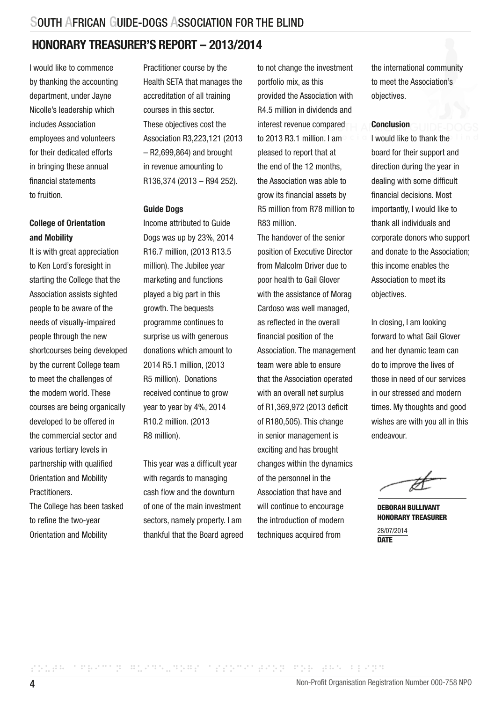# HONORARY TREASURER'S REPORT – 2013/2014

I would like to commence by thanking the accounting department, under Jayne Nicolle's leadership which includes Association employees and volunteers for their dedicated efforts in bringing these annual financial statements to fruition.

#### College of Orientation and Mobility

It is with great appreciation to Ken Lord's foresight in starting the College that the Association assists sighted people to be aware of the needs of visually-impaired people through the new shortcourses being developed by the current College team to meet the challenges of the modern world. These courses are being organically developed to be offered in the commercial sector and various tertiary levels in partnership with qualified Orientation and Mobility **Practitioners** 

The College has been tasked to refine the two-year Orientation and Mobility

Practitioner course by the Health SETA that manages the accreditation of all training courses in this sector. These objectives cost the Association R3,223,121 (2013 – R2,699,864) and brought in revenue amounting to R136,374 (2013 – R94 252).

#### Guide Dogs

Income attributed to Guide Dogs was up by 23%, 2014 R16.7 million, (2013 R13.5 million). The Jubilee year marketing and functions played a big part in this growth. The bequests programme continues to surprise us with generous donations which amount to 2014 R5.1 million, (2013 R5 million). Donations received continue to grow year to year by 4%, 2014 R10.2 million. (2013 R8 million).

This year was a difficult year with regards to managing cash flow and the downturn of one of the main investment sectors, namely property. I am thankful that the Board agreed to not change the investment portfolio mix, as this provided the Association with R4.5 million in dividends and interest revenue compared to 2013 R3.1 million. I am pleased to report that at the end of the 12 months the Association was able to grow its financial assets by R5 million from R78 million to R83 million.

The handover of the senior position of Executive Director from Malcolm Driver due to poor health to Gail Glover with the assistance of Morag Cardoso was well managed, as reflected in the overall financial position of the Association. The management team were able to ensure that the Association operated with an overall net surplus of R1,369,972 (2013 deficit of R180,505). This change in senior management is exciting and has brought changes within the dynamics of the personnel in the Association that have and will continue to encourage the introduction of modern techniques acquired from

the international community to meet the Association's objectives.

#### Conclusion

I would like to thank the board for their support and direction during the year in dealing with some difficult financial decisions. Most importantly, I would like to thank all individuals and corporate donors who support and donate to the Association; this income enables the Association to meet its objectives.

In closing, I am looking forward to what Gail Glover and her dynamic team can do to improve the lives of those in need of our services in our stressed and modern times. My thoughts and good wishes are with you all in this endeavour.

DEBORAH BULLIVANT HONORARY TREASURER

28/07/2014 **DATE**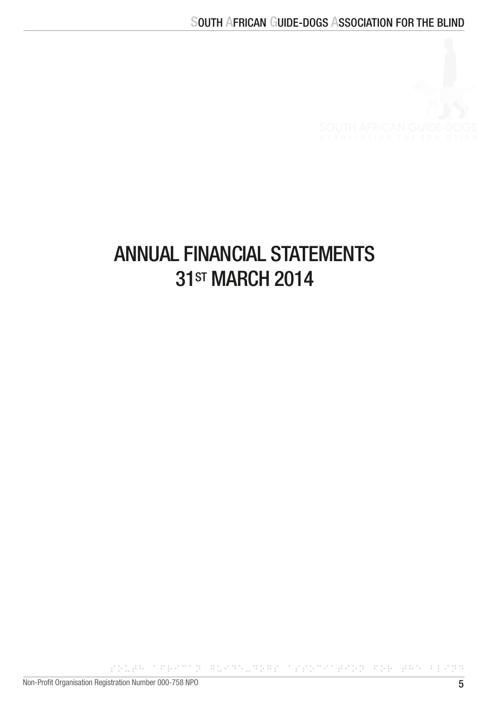

# ANNUAL FINANCIAL STATEMENTS **31ST MARCH 2014**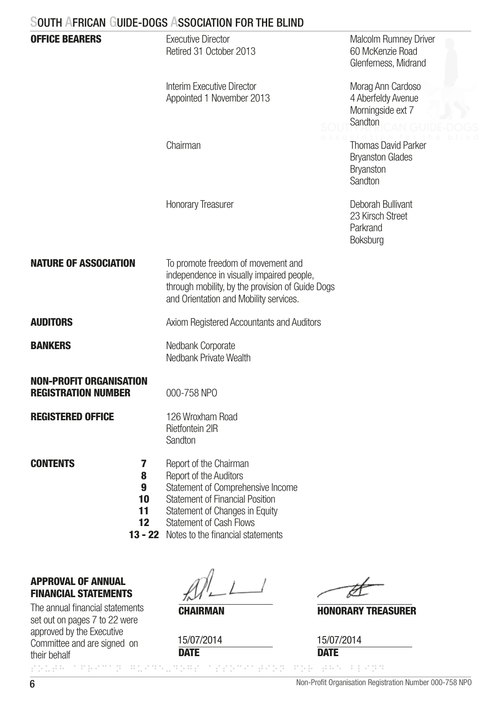|                                                                  | SOUTH AFRICAN GUIDE-DOGS ASSOCIATION FOR THE BLIND                                                                                                                                                                                |                                                                          |
|------------------------------------------------------------------|-----------------------------------------------------------------------------------------------------------------------------------------------------------------------------------------------------------------------------------|--------------------------------------------------------------------------|
| <b>OFFICE BEARERS</b>                                            | Executive Director<br>Retired 31 October 2013                                                                                                                                                                                     | <b>Malcolm Rumney Driver</b><br>60 McKenzie Road<br>Glenferness, Midrand |
|                                                                  | Interim Executive Director<br>Appointed 1 November 2013                                                                                                                                                                           | Morag Ann Cardoso<br>4 Aberfeldy Avenue<br>Morningside ext 7<br>Sandton  |
|                                                                  | Chairman                                                                                                                                                                                                                          | Thomas David Parker<br><b>Bryanston Glades</b><br>Bryanston<br>Sandton   |
|                                                                  | <b>Honorary Treasurer</b>                                                                                                                                                                                                         | Deborah Bullivant<br>23 Kirsch Street<br>Parkrand<br>Boksburg            |
| <b>NATURE OF ASSOCIATION</b>                                     | To promote freedom of movement and<br>independence in visually impaired people,<br>through mobility, by the provision of Guide Dogs<br>and Orientation and Mobility services.                                                     |                                                                          |
| <b>AUDITORS</b>                                                  | Axiom Registered Accountants and Auditors                                                                                                                                                                                         |                                                                          |
| <b>BANKERS</b>                                                   | Nedbank Corporate<br>Nedbank Private Wealth                                                                                                                                                                                       |                                                                          |
| <b>NON-PROFIT ORGANISATION</b><br><b>REGISTRATION NUMBER</b>     | 000-758 NPO                                                                                                                                                                                                                       |                                                                          |
| <b>REGISTERED OFFICE</b>                                         | 126 Wroxham Road<br>Rietfontein 2IR<br>Sandton                                                                                                                                                                                    |                                                                          |
| <b>CONTENTS</b><br>7<br>8<br>9<br>10<br>11<br>$12 \,$<br>13 - 22 | Report of the Chairman<br>Report of the Auditors<br>Statement of Comprehensive Income<br>Statement of Financial Position<br>Statement of Changes in Equity<br><b>Statement of Cash Flows</b><br>Notes to the financial statements |                                                                          |

# APPROVAL OF ANNUAL FINANCIAL STATEMENTS

The annual financial statements<br> **CHAIRMAN** set out on pages 7 to 22 were approved by the Executive Committee and are signed on their behalf

**DATE** 15/07/2014

# HONORARY TREASURER

**DATE** 15/07/2014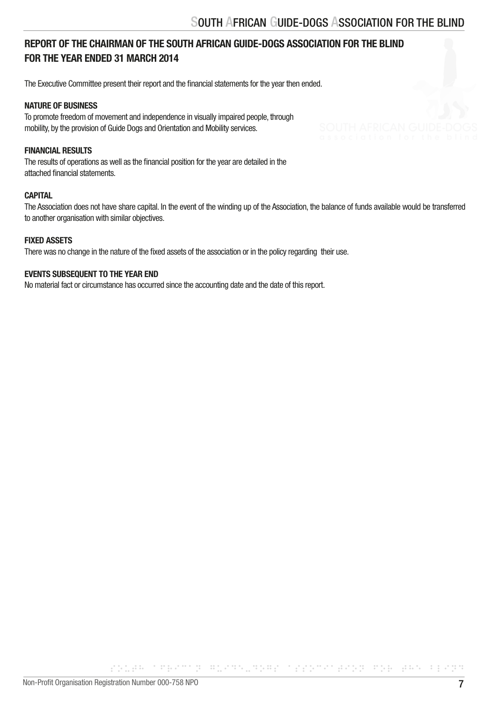# REPORT OF THE CHAIRMAN OF THE SOUTH AFRICAN GUIDE-DOGS ASSOCIATION FOR THE BLIND FOR THE YEAR ENDED 31 MARCH 2014

The Executive Committee present their report and the financial statements for the year then ended.

#### NATURE OF BUSINESS

To promote freedom of movement and independence in visually impaired people, through mobility, by the provision of Guide Dogs and Orientation and Mobility services.

#### FINANCIAL RESULTS

The results of operations as well as the financial position for the year are detailed in the attached financial statements.

#### **CAPITAL**

The Association does not have share capital. In the event of the winding up of the Association, the balance of funds available would be transferred to another organisation with similar objectives.

#### FIXED ASSETS

There was no change in the nature of the fixed assets of the association or in the policy regarding their use.

#### EVENTS SUBSEQUENT TO THE YEAR END

No material fact or circumstance has occurred since the accounting date and the date of this report.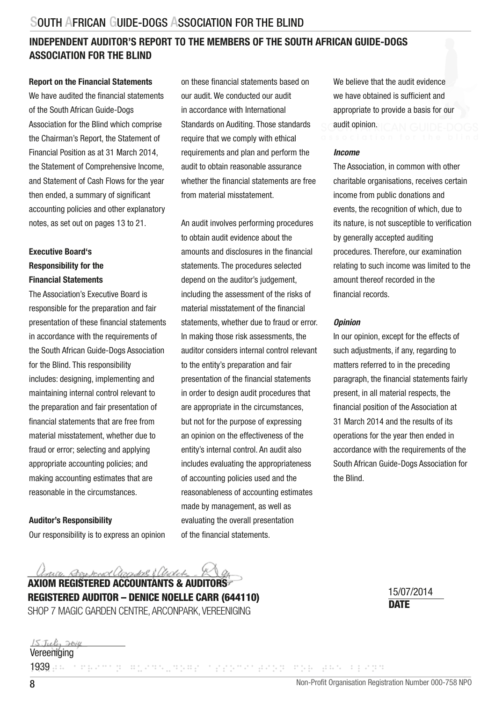# INDEPENDENT AUDITOR'S REPORT TO THE MEMBERS OF THE SOUTH AFRICAN GUIDE-DOGS ASSOCIATION FOR THE BLIND

#### Report on the Financial Statements

We have audited the financial statements of the South African Guide-Dogs Association for the Blind which comprise the Chairman's Report, the Statement of Financial Position as at 31 March 2014, the Statement of Comprehensive Income, and Statement of Cash Flows for the year then ended, a summary of significant accounting policies and other explanatory notes, as set out on pages 13 to 21.

## Executive Board's Responsibility for the Financial Statements

The Association's Executive Board is responsible for the preparation and fair presentation of these financial statements in accordance with the requirements of the South African Guide-Dogs Association for the Blind. This responsibility includes: designing, implementing and maintaining internal control relevant to the preparation and fair presentation of financial statements that are free from material misstatement, whether due to fraud or error; selecting and applying appropriate accounting policies; and making accounting estimates that are reasonable in the circumstances.

#### Auditor's Responsibility

Our responsibility is to express an opinion

on these financial statements based on our audit. We conducted our audit in accordance with International Standards on Auditing. Those standards require that we comply with ethical requirements and plan and perform the audit to obtain reasonable assurance whether the financial statements are free from material misstatement.

An audit involves performing procedures to obtain audit evidence about the amounts and disclosures in the financial statements. The procedures selected depend on the auditor's judgement, including the assessment of the risks of material misstatement of the financial statements, whether due to fraud or error. In making those risk assessments, the auditor considers internal control relevant to the entity's preparation and fair presentation of the financial statements in order to design audit procedures that are appropriate in the circumstances, but not for the purpose of expressing an opinion on the effectiveness of the entity's internal control. An audit also includes evaluating the appropriateness of accounting policies used and the reasonableness of accounting estimates made by management, as well as evaluating the overall presentation of the financial statements.

We believe that the audit evidence we have obtained is sufficient and appropriate to provide a basis for our audit opinion.

#### *Income*

The Association, in common with other charitable organisations, receives certain income from public donations and events, the recognition of which, due to its nature, is not susceptible to verification by generally accepted auditing procedures. Therefore, our examination relating to such income was limited to the amount thereof recorded in the financial records.

#### *Opinion*

In our opinion, except for the effects of such adjustments, if any, regarding to matters referred to in the preceding paragraph, the financial statements fairly present, in all material respects, the financial position of the Association at 31 March 2014 and the results of its operations for the year then ended in accordance with the requirements of the South African Guide-Dogs Association for the Blind.

Jary Das And annual Clerks AXIOM REGISTERED ACCOUNTANTS & AUDITORS

REGISTERED AUDITOR – DENICE NOELLE CARR (644110) SHOP 7 MAGIC GARDEN CENTRE, ARCONPARK, VEREENIGING DATE DATE DATE

15/07/2014

#### 15 July 2014 Vereeniging

1939 parameter of the angular constants and the bland states as a special states and the bland states and the bland states of the second states of the second states of the second states of the second states of the second s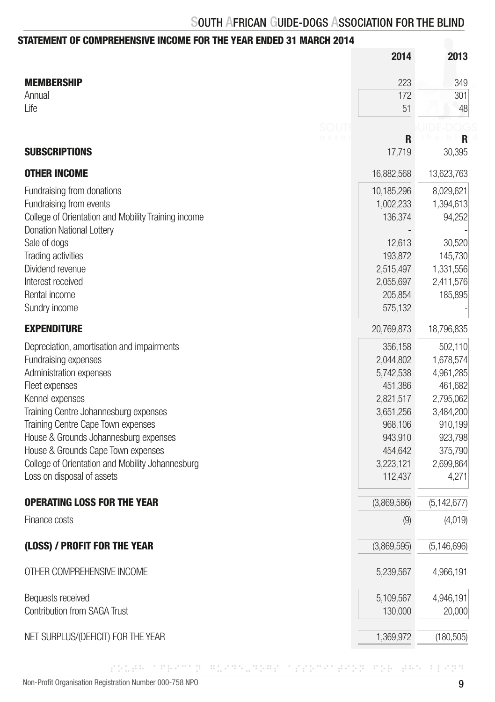# STATEMENT OF COMPREHENSIVE INCOME FOR THE YEAR ENDED 31 MARCH 2014

|                                                     | 2014        | 2013          |
|-----------------------------------------------------|-------------|---------------|
| <b>MEMBERSHIP</b>                                   | 223         | 349           |
| Annual                                              | 172         | 301           |
| Life                                                | 51          | 48            |
| SOU1                                                |             |               |
| 0 s s o                                             | R           | R             |
| <b>SUBSCRIPTIONS</b>                                | 17.719      | 30,395        |
| <b>OTHER INCOME</b>                                 | 16,882,568  | 13,623,763    |
| Fundraising from donations                          | 10,185,296  | 8,029,621     |
| Fundraising from events                             | 1,002,233   | 1,394,613     |
| College of Orientation and Mobility Training income | 136,374     | 94,252        |
| Donation National Lottery                           |             |               |
| Sale of dogs                                        | 12,613      | 30,520        |
| Trading activities                                  | 193,872     | 145,730       |
| Dividend revenue                                    | 2,515,497   | 1,331,556     |
| Interest received                                   | 2,055,697   | 2,411,576     |
| Rental income                                       | 205,854     | 185,895       |
| Sundry income                                       | 575,132     |               |
| <b>EXPENDITURE</b>                                  | 20,769,873  | 18,796,835    |
| Depreciation, amortisation and impairments          | 356,158     | 502,110       |
| Fundraising expenses                                | 2,044,802   | 1,678,574     |
| Administration expenses                             | 5,742,538   | 4,961,285     |
| Fleet expenses                                      | 451,386     | 461,682       |
| Kennel expenses                                     | 2,821,517   | 2,795,062     |
| Training Centre Johannesburg expenses               | 3,651,256   | 3,484,200     |
| Training Centre Cape Town expenses                  | 968,106     | 910,199       |
| House & Grounds Johannesburg expenses               | 943,910     | 923,798       |
| House & Grounds Cape Town expenses                  | 454,642     | 375,790       |
| College of Orientation and Mobility Johannesburg    | 3,223,121   | 2,699,864     |
| Loss on disposal of assets                          | 112,437     | 4,271         |
| <b>OPERATING LOSS FOR THE YEAR</b>                  | (3,869,586) | (5, 142, 677) |
| Finance costs                                       | (9)         | (4,019)       |
|                                                     |             |               |
| (LOSS) / PROFIT FOR THE YEAR                        | (3,869,595) | (5, 146, 696) |
| OTHER COMPREHENSIVE INCOME                          | 5,239,567   | 4,966,191     |
| Bequests received                                   | 5,109,567   | 4,946,191     |
| <b>Contribution from SAGA Trust</b>                 | 130,000     | 20,000        |
| NET SURPLUS/(DEFICIT) FOR THE YEAR                  | 1,369,972   | (180, 505)    |
|                                                     |             |               |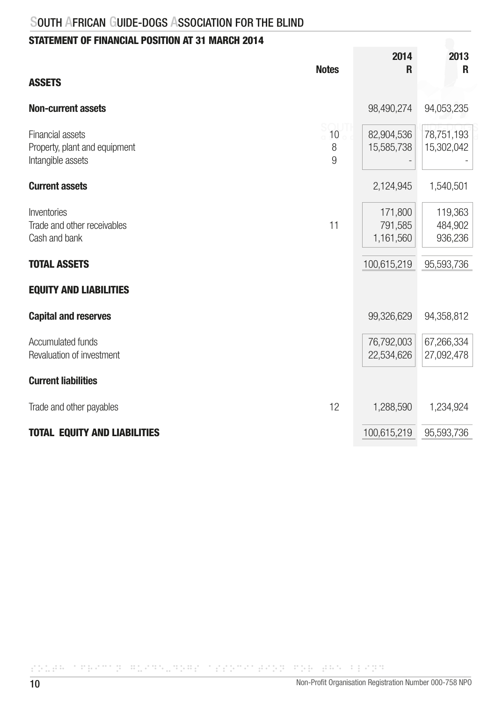# STATEMENT OF FINANCIAL POSITION AT 31 MARCH 2014

|                                                                        | <b>Notes</b> | 2014<br>R                       | 2013<br>R                     |
|------------------------------------------------------------------------|--------------|---------------------------------|-------------------------------|
| <b>ASSETS</b>                                                          |              |                                 |                               |
| <b>Non-current assets</b>                                              |              | 98,490,274                      | 94,053,235                    |
| Financial assets<br>Property, plant and equipment<br>Intangible assets | 10<br>8<br>9 | 82,904,536<br>15,585,738        | 78,751,193<br>15,302,042      |
| <b>Current assets</b>                                                  |              | 2,124,945                       | 1,540,501                     |
| Inventories<br>Trade and other receivables<br>Cash and bank            | 11           | 171,800<br>791,585<br>1,161,560 | 119,363<br>484,902<br>936,236 |
| <b>TOTAL ASSETS</b>                                                    |              | 100,615,219                     | 95,593,736                    |
| <b>EQUITY AND LIABILITIES</b>                                          |              |                                 |                               |
| <b>Capital and reserves</b>                                            |              | 99,326,629                      | 94,358,812                    |
| <b>Accumulated funds</b><br>Revaluation of investment                  |              | 76,792,003<br>22,534,626        | 67,266,334<br>27,092,478      |
| <b>Current liabilities</b>                                             |              |                                 |                               |
| Trade and other payables                                               | 12           | 1,288,590                       | 1,234,924                     |
| <b>TOTAL EQUITY AND LIABILITIES</b>                                    |              | 100,615,219                     | 95,593,736                    |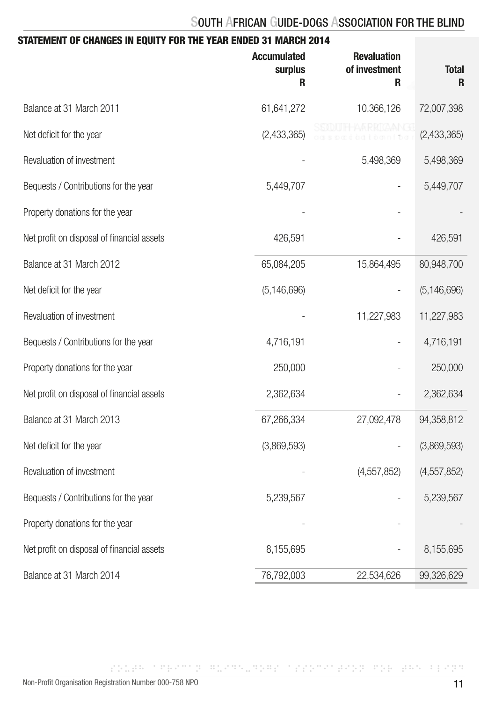| STATEMENT OF CHANGES IN EQUITY FOR THE YEAR ENDED 31 MARCH 2014 |                                    |                                          |                   |
|-----------------------------------------------------------------|------------------------------------|------------------------------------------|-------------------|
|                                                                 | <b>Accumulated</b><br>surplus<br>R | <b>Revaluation</b><br>of investment<br>R | <b>Total</b><br>R |
| Balance at 31 March 2011                                        | 61,641,272                         | 10,366,126                               | 72,007,398        |
| Net deficit for the year                                        | (2,433,365)                        |                                          | (2,433,365)       |
| Revaluation of investment                                       |                                    | 5,498,369                                | 5,498,369         |
| Bequests / Contributions for the year                           | 5,449,707                          |                                          | 5,449,707         |
| Property donations for the year                                 |                                    |                                          |                   |
| Net profit on disposal of financial assets                      | 426,591                            |                                          | 426,591           |
| Balance at 31 March 2012                                        | 65,084,205                         | 15,864,495                               | 80,948,700        |
| Net deficit for the year                                        | (5, 146, 696)                      |                                          | (5, 146, 696)     |
| Revaluation of investment                                       |                                    | 11,227,983                               | 11,227,983        |
| Bequests / Contributions for the year                           | 4,716,191                          |                                          | 4,716,191         |
| Property donations for the year                                 | 250,000                            |                                          | 250,000           |
| Net profit on disposal of financial assets                      | 2,362,634                          |                                          | 2,362,634         |
| Balance at 31 March 2013                                        | 67,266,334                         | 27,092,478                               | 94,358,812        |
| Net deficit for the year                                        | (3,869,593)                        |                                          | (3,869,593)       |
| Revaluation of investment                                       |                                    | (4,557,852)                              | (4, 557, 852)     |
| Bequests / Contributions for the year                           | 5,239,567                          |                                          | 5,239,567         |
| Property donations for the year                                 |                                    |                                          |                   |
| Net profit on disposal of financial assets                      | 8,155,695                          |                                          | 8,155,695         |
| Balance at 31 March 2014                                        | 76,792,003                         | 22,534,626                               | 99,326,629        |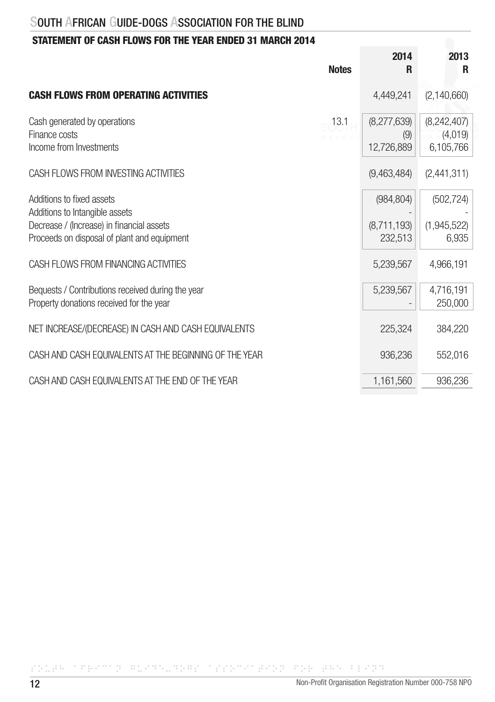# STATEMENT OF CASH FLOWS FOR THE YEAR ENDED 31 MARCH 2014

|                                                                                                                                                         | <b>Notes</b> | 2014<br>R                            | 2013<br>R                           |
|---------------------------------------------------------------------------------------------------------------------------------------------------------|--------------|--------------------------------------|-------------------------------------|
| <b>CASH FLOWS FROM OPERATING ACTIVITIES</b>                                                                                                             |              | 4,449,241                            | (2, 140, 660)                       |
| Cash generated by operations<br>Finance costs<br>Income from Investments                                                                                | 13.1         | (8,277,639)<br>(9)<br>12,726,889     | (8,242,407)<br>(4,019)<br>6,105,766 |
| CASH FLOWS FROM INVESTING ACTIVITIES                                                                                                                    |              | (9,463,484)                          | (2,441,311)                         |
| Additions to fixed assets<br>Additions to Intangible assets<br>Decrease / (Increase) in financial assets<br>Proceeds on disposal of plant and equipment |              | (984, 804)<br>(8,711,193)<br>232,513 | (502, 724)<br>(1,945,522)<br>6,935  |
| CASH FLOWS FROM FINANCING ACTIVITIES                                                                                                                    |              | 5,239,567                            | 4,966,191                           |
| Bequests / Contributions received during the year<br>Property donations received for the year                                                           |              | 5,239,567                            | 4,716,191<br>250,000                |
| NET INCREASE/(DECREASE) IN CASH AND CASH EQUIVALENTS                                                                                                    |              | 225,324                              | 384,220                             |
| CASH AND CASH EQUIVALENTS AT THE BEGINNING OF THE YEAR                                                                                                  |              | 936,236                              | 552,016                             |
| CASH AND CASH EQUIVALENTS AT THE END OF THE YEAR                                                                                                        |              | 1,161,560                            | 936,236                             |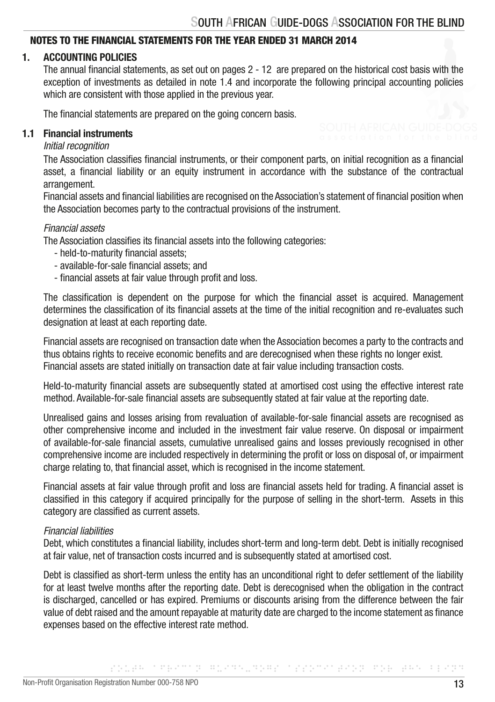## NOTES TO THE FINANCIAL STATEMENTS FOR THE YEAR ENDED 31 MARCH 2014

# 1. ACCOUNTING POLICIES

 The annual financial statements, as set out on pages 2 - 12 are prepared on the historical cost basis with the exception of investments as detailed in note 1.4 and incorporate the following principal accounting policies which are consistent with those applied in the previous year.

The financial statements are prepared on the going concern basis.

#### 1.1 Financial instruments

#### *Initial recognition*

 The Association classifies financial instruments, or their component parts, on initial recognition as a financial asset, a financial liability or an equity instrument in accordance with the substance of the contractual arrangement.

 Financial assets and financial liabilities are recognised on the Association's statement of financial position when the Association becomes party to the contractual provisions of the instrument.

#### *Financial assets*

The Association classifies its financial assets into the following categories:

- held-to-maturity financial assets;
- available-for-sale financial assets; and
- financial assets at fair value through profit and loss.

 The classification is dependent on the purpose for which the financial asset is acquired. Management determines the classification of its financial assets at the time of the initial recognition and re-evaluates such designation at least at each reporting date.

 Financial assets are recognised on transaction date when the Association becomes a party to the contracts and thus obtains rights to receive economic benefits and are derecognised when these rights no longer exist. Financial assets are stated initially on transaction date at fair value including transaction costs.

 Held-to-maturity financial assets are subsequently stated at amortised cost using the effective interest rate method. Available-for-sale financial assets are subsequently stated at fair value at the reporting date.

 Unrealised gains and losses arising from revaluation of available-for-sale financial assets are recognised as other comprehensive income and included in the investment fair value reserve. On disposal or impairment of available-for-sale financial assets, cumulative unrealised gains and losses previously recognised in other comprehensive income are included respectively in determining the profit or loss on disposal of, or impairment charge relating to, that financial asset, which is recognised in the income statement.

 Financial assets at fair value through profit and loss are financial assets held for trading. A financial asset is classified in this category if acquired principally for the purpose of selling in the short-term. Assets in this category are classified as current assets.

#### *Financial liabilities*

 Debt, which constitutes a financial liability, includes short-term and long-term debt. Debt is initially recognised at fair value, net of transaction costs incurred and is subsequently stated at amortised cost.

 Debt is classified as short-term unless the entity has an unconditional right to defer settlement of the liability for at least twelve months after the reporting date. Debt is derecognised when the obligation in the contract is discharged, cancelled or has expired. Premiums or discounts arising from the difference between the fair value of debt raised and the amount repayable at maturity date are charged to the income statement as finance expenses based on the effective interest rate method.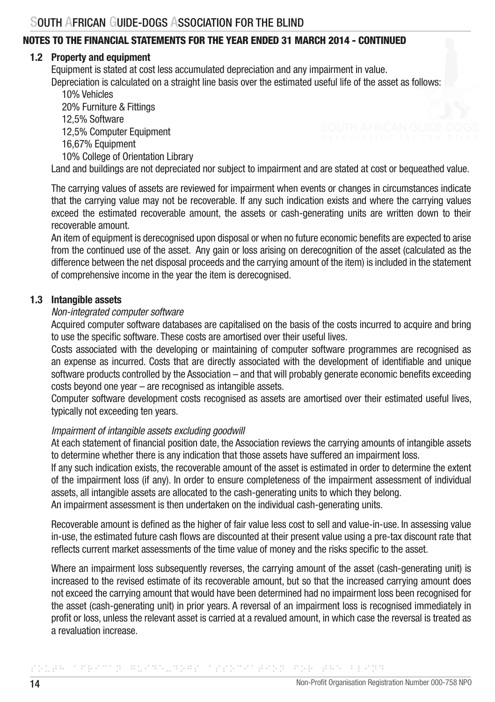## 1.2 Property and equipment

Equipment is stated at cost less accumulated depreciation and any impairment in value. Depreciation is calculated on a straight line basis over the estimated useful life of the asset as follows:

 10% Vehicles 20% Furniture & Fittings 12,5% Software 12,5% Computer Equipment 16,67% Equipment 10% College of Orientation Library Land and buildings are not depreciated nor subject to impairment and are stated at cost or bequeathed value.

 The carrying values of assets are reviewed for impairment when events or changes in circumstances indicate that the carrying value may not be recoverable. If any such indication exists and where the carrying values exceed the estimated recoverable amount, the assets or cash-generating units are written down to their recoverable amount.

 An item of equipment is derecognised upon disposal or when no future economic benefits are expected to arise from the continued use of the asset. Any gain or loss arising on derecognition of the asset (calculated as the difference between the net disposal proceeds and the carrying amount of the item) is included in the statement of comprehensive income in the year the item is derecognised.

### 1.3 Intangible assets

### *Non-integrated computer software*

 Acquired computer software databases are capitalised on the basis of the costs incurred to acquire and bring to use the specific software. These costs are amortised over their useful lives.

 Costs associated with the developing or maintaining of computer software programmes are recognised as an expense as incurred. Costs that are directly associated with the development of identifiable and unique software products controlled by the Association – and that will probably generate economic benefits exceeding costs beyond one year – are recognised as intangible assets.

 Computer software development costs recognised as assets are amortised over their estimated useful lives, typically not exceeding ten years.

### *Impairment of intangible assets excluding goodwill*

 At each statement of financial position date, the Association reviews the carrying amounts of intangible assets to determine whether there is any indication that those assets have suffered an impairment loss.

 If any such indication exists, the recoverable amount of the asset is estimated in order to determine the extent of the impairment loss (if any). In order to ensure completeness of the impairment assessment of individual assets, all intangible assets are allocated to the cash-generating units to which they belong.

An impairment assessment is then undertaken on the individual cash-generating units.

Recoverable amount is defined as the higher of fair value less cost to sell and value-in-use. In assessing value in-use, the estimated future cash flows are discounted at their present value using a pre-tax discount rate that reflects current market assessments of the time value of money and the risks specific to the asset.

Where an impairment loss subsequently reverses, the carrying amount of the asset (cash-generating unit) is increased to the revised estimate of its recoverable amount, but so that the increased carrying amount does not exceed the carrying amount that would have been determined had no impairment loss been recognised for the asset (cash-generating unit) in prior years. A reversal of an impairment loss is recognised immediately in profit or loss, unless the relevant asset is carried at a revalued amount, in which case the reversal is treated as a revaluation increase.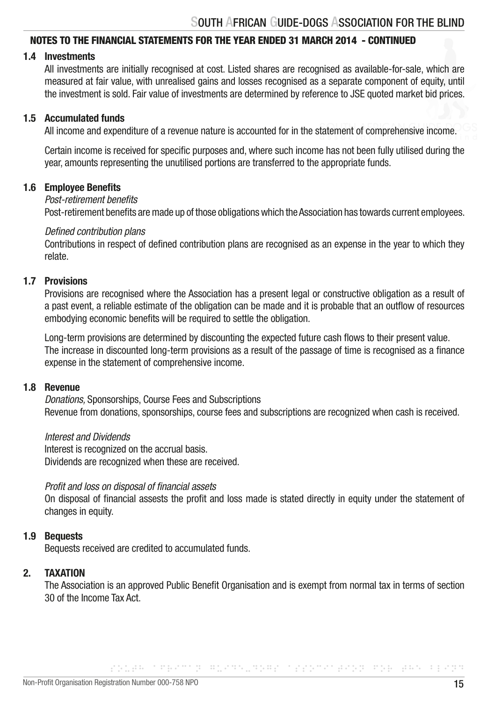## 1.4 Investments

 All investments are initially recognised at cost. Listed shares are recognised as available-for-sale, which are measured at fair value, with unrealised gains and losses recognised as a separate component of equity, until the investment is sold. Fair value of investments are determined by reference to JSE quoted market bid prices.

#### 1.5 Accumulated funds

All income and expenditure of a revenue nature is accounted for in the statement of comprehensive income.

 Certain income is received for specific purposes and, where such income has not been fully utilised during the year, amounts representing the unutilised portions are transferred to the appropriate funds.

#### 1.6 Employee Benefits

#### *Post-retirement benefits*

Post-retirement benefits are made up of those obligations which the Association has towards current employees.

#### *Defined contribution plans*

 Contributions in respect of defined contribution plans are recognised as an expense in the year to which they relate.

# 1.7 Provisions

 Provisions are recognised where the Association has a present legal or constructive obligation as a result of a past event, a reliable estimate of the obligation can be made and it is probable that an outflow of resources embodying economic benefits will be required to settle the obligation.

 Long-term provisions are determined by discounting the expected future cash flows to their present value. The increase in discounted long-term provisions as a result of the passage of time is recognised as a finance expense in the statement of comprehensive income.

#### 1.8 Revenue

 *Donations,* Sponsorships, Course Fees and Subscriptions Revenue from donations, sponsorships, course fees and subscriptions are recognized when cash is received.

 *Interest and Dividends* Interest is recognized on the accrual basis. Dividends are recognized when these are received.

#### *Profit and loss on disposal of financial assets*

 On disposal of financial assests the profit and loss made is stated directly in equity under the statement of changes in equity.

### 1.9 Bequests

Bequests received are credited to accumulated funds.

#### 2. TAXATION

 The Association is an approved Public Benefit Organisation and is exempt from normal tax in terms of section 30 of the Income Tax Act.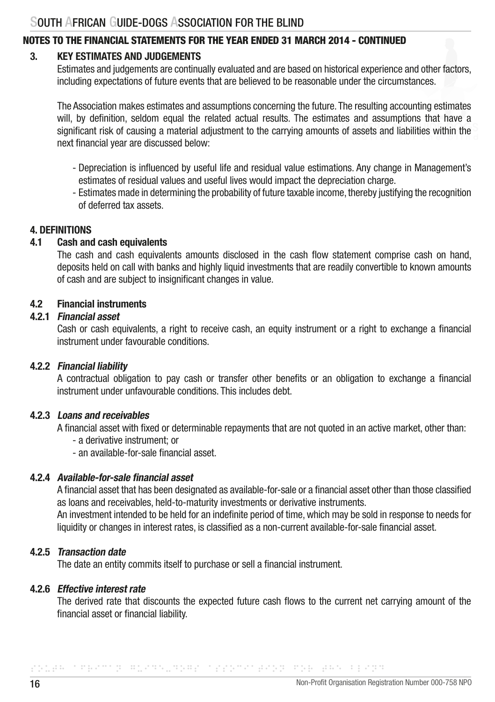# NOTES TO THE FINANCIAL STATEMENTS FOR THE YEAR ENDED 31 MARCH 2014 - CONTINUED

## 3. KEY ESTIMATES AND JUDGEMENTS

 Estimates and judgements are continually evaluated and are based on historical experience and other factors, including expectations of future events that are believed to be reasonable under the circumstances.

 The Association makes estimates and assumptions concerning the future. The resulting accounting estimates will, by definition, seldom equal the related actual results. The estimates and assumptions that have a significant risk of causing a material adjustment to the carrying amounts of assets and liabilities within the next financial year are discussed below:

- Depreciation is influenced by useful life and residual value estimations. Any change in Management's estimates of residual values and useful lives would impact the depreciation charge.
- Estimates made in determining the probability of future taxable income, thereby justifying the recognition of deferred tax assets.

#### 4. DEFINITIONS

# 4.1 Cash and cash equivalents

 The cash and cash equivalents amounts disclosed in the cash flow statement comprise cash on hand, deposits held on call with banks and highly liquid investments that are readily convertible to known amounts of cash and are subject to insignificant changes in value.

### 4.2 Financial instruments

#### 4.2.1 Financial asset

 Cash or cash equivalents, a right to receive cash, an equity instrument or a right to exchange a financial instrument under favourable conditions.

### 4.2.2 Financial liability

 A contractual obligation to pay cash or transfer other benefits or an obligation to exchange a financial instrument under unfavourable conditions. This includes debt.

#### 4.2.3 Loans and receivables

A financial asset with fixed or determinable repayments that are not quoted in an active market, other than:

- a derivative instrument; or
- an available-for-sale financial asset.

## 4.2.4 Available-for-sale financial asset

 A financial asset that has been designated as available-for-sale or a financial asset other than those classified as loans and receivables, held-to-maturity investments or derivative instruments. An investment intended to be held for an indefinite period of time, which may be sold in response to needs for liquidity or changes in interest rates, is classified as a non-current available-for-sale financial asset.

## 4.2.5 Transaction date

The date an entity commits itself to purchase or sell a financial instrument.

#### 4.2.6 Effective interest rate

 The derived rate that discounts the expected future cash flows to the current net carrying amount of the financial asset or financial liability.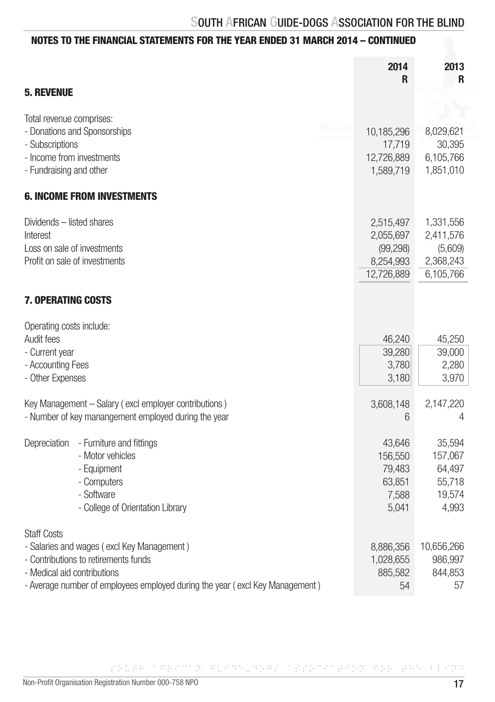|                                                                                                                                                                                                                         | 2014<br>R                                                      | 2013<br>R                                                   |
|-------------------------------------------------------------------------------------------------------------------------------------------------------------------------------------------------------------------------|----------------------------------------------------------------|-------------------------------------------------------------|
| <b>5. REVENUE</b>                                                                                                                                                                                                       |                                                                |                                                             |
| Total revenue comprises:<br>sout<br>- Donations and Sponsorships<br>- Subscriptions<br>- Income from investments<br>- Fundraising and other                                                                             | 10,185,296<br>17,719<br>12,726,889<br>1,589,719                | 8,029,621<br>30,395<br>6,105,766<br>1,851,010               |
| <b>6. INCOME FROM INVESTMENTS</b>                                                                                                                                                                                       |                                                                |                                                             |
| Dividends - listed shares<br>Interest<br>Loss on sale of investments<br>Profit on sale of investments                                                                                                                   | 2,515,497<br>2,055,697<br>(99, 298)<br>8,254,993<br>12,726,889 | 1,331,556<br>2,411,576<br>(5,609)<br>2,368,243<br>6,105,766 |
| <b>7. OPERATING COSTS</b>                                                                                                                                                                                               |                                                                |                                                             |
| Operating costs include:<br>Audit fees<br>- Current year<br>- Accounting Fees<br>- Other Expenses                                                                                                                       | 46,240<br>39,280<br>3,780<br>3,180                             | 45,250<br>39,000<br>2,280<br>3,970                          |
| Key Management - Salary (excl employer contributions)<br>- Number of key manangement employed during the year                                                                                                           | 3,608,148<br>6                                                 | 2,147,220<br>4                                              |
| - Furniture and fittings<br>Depreciation<br>- Motor vehicles<br>- Equipment<br>- Computers<br>- Software<br>- College of Orientation Library                                                                            | 43,646<br>156,550<br>79,483<br>63,851<br>7,588<br>5,041        | 35,594<br>157,067<br>64,497<br>55,718<br>19,574<br>4,993    |
| <b>Staff Costs</b><br>- Salaries and wages (excl Key Management)<br>- Contributions to retirements funds<br>- Medical aid contributions<br>- Average number of employees employed during the year (excl Key Management) | 8,886,356<br>1,028,655<br>885,582<br>54                        | 10,656,266<br>986,997<br>844,853<br>57                      |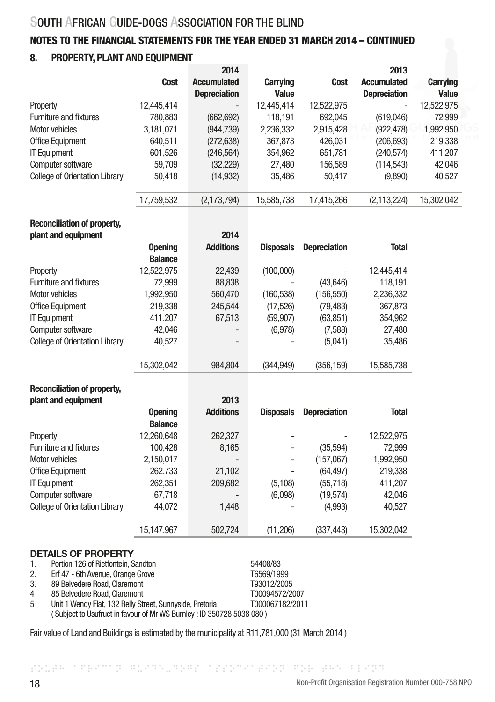# 8. PROPERTY, PLANT AND EQUIPMENT

|            | 2014                |                 |            | 2013                |                 |
|------------|---------------------|-----------------|------------|---------------------|-----------------|
| Cost       | <b>Accumulated</b>  | <b>Carrying</b> | Cost       | <b>Accumulated</b>  | <b>Carrying</b> |
|            | <b>Depreciation</b> | Value           |            | <b>Depreciation</b> | Value           |
| 12.445.414 | -                   | 12,445,414      | 12,522,975 |                     | 12,522,975      |
| 780,883    | (662, 692)          | 118,191         | 692,045    | (619,046)           | 72,999          |
| 3,181,071  | (944, 739)          | 2,236,332       | 2,915,428  | (922, 478)          | 1,992,950       |
| 640.511    | (272, 638)          | 367,873         | 426,031    | (206, 693)          | 219,338         |
| 601,526    | (246, 564)          | 354,962         | 651,781    | (240,574)           | 411,207         |
| 59.709     | (32, 229)           | 27,480          | 156.589    | (114, 543)          | 42,046          |
| 50,418     | (14, 932)           | 35,486          | 50,417     | (9,890)             | 40,527          |
| 17,759,532 | (2, 173, 794)       | 15,585,738      | 17,415,266 | (2, 113, 224)       | 15,302,042      |
|            |                     |                 |            |                     |                 |

# Reconciliation of property,

| plant and equipment                   |                | 2014                     |                  |                     |              |
|---------------------------------------|----------------|--------------------------|------------------|---------------------|--------------|
|                                       | <b>Opening</b> | <b>Additions</b>         | <b>Disposals</b> | <b>Depreciation</b> | <b>Total</b> |
|                                       | <b>Balance</b> |                          |                  |                     |              |
| Property                              | 12,522,975     | 22,439                   | (100,000)        |                     | 12,445,414   |
| <b>Furniture and fixtures</b>         | 72.999         | 88,838                   |                  | (43,646)            | 118,191      |
| Motor vehicles                        | 1,992,950      | 560,470                  | (160, 538)       | (156, 550)          | 2,236,332    |
| <b>Office Equipment</b>               | 219,338        | 245,544                  | (17,526)         | (79, 483)           | 367,873      |
| <b>IT Equipment</b>                   | 411,207        | 67,513                   | (59, 907)        | (63, 851)           | 354,962      |
| Computer software                     | 42,046         | $\overline{\phantom{a}}$ | (6,978)          | (7,588)             | 27,480       |
| <b>College of Orientation Library</b> | 40,527         | $\overline{\phantom{a}}$ |                  | (5,041)             | 35,486       |
|                                       | 15,302,042     | 984,804                  | (344, 949)       | (356, 159)          | 15,585,738   |

# Reconciliation of property,<br>nlopt and equipment

| plant and equipment                   |                | 2013             |                  |                     |              |
|---------------------------------------|----------------|------------------|------------------|---------------------|--------------|
|                                       | <b>Opening</b> | <b>Additions</b> | <b>Disposals</b> | <b>Depreciation</b> | <b>Total</b> |
|                                       | <b>Balance</b> |                  |                  |                     |              |
| Property                              | 12,260,648     | 262,327          | ٠                |                     | 12,522,975   |
| <b>Furniture and fixtures</b>         | 100,428        | 8,165            | ٠                | (35,594)            | 72,999       |
| Motor vehicles                        | 2,150,017      | -                | ۰                | (157,067)           | 1,992,950    |
| <b>Office Equipment</b>               | 262,733        | 21,102           |                  | (64, 497)           | 219,338      |
| <b>IT Equipment</b>                   | 262,351        | 209,682          | (5, 108)         | (55,718)            | 411,207      |
| Computer software                     | 67,718         |                  | (6,098)          | (19,574)            | 42,046       |
| <b>College of Orientation Library</b> | 44.072         | 1,448            |                  | (4,993)             | 40,527       |
|                                       | 15.147.967     | 502.724          | (11, 206)        | (337, 443)          | 15,302,042   |

#### DETAILS OF PROPERTY

| $\mathbf{1}$ . | Portion 126 of Rietfontein, Sandton                                  | 54408/83        |
|----------------|----------------------------------------------------------------------|-----------------|
| 2.             | Erf 47 - 6th Avenue, Orange Grove                                    | T6569/1999      |
| 3.             | 89 Belvedere Road, Claremont                                         | T93012/2005     |
| 4              | 85 Belvedere Road, Claremont                                         | T00094572/2007  |
| 5              | Unit 1 Wendy Flat, 132 Relly Street, Sunnyside, Pretoria             | T000067182/2011 |
|                | (Subject to Usufruct in favour of Mr WS Burnley: ID 350728 5038 080) |                 |

Fair value of Land and Buildings is estimated by the municipality at R11,781,000 (31 March 2014 )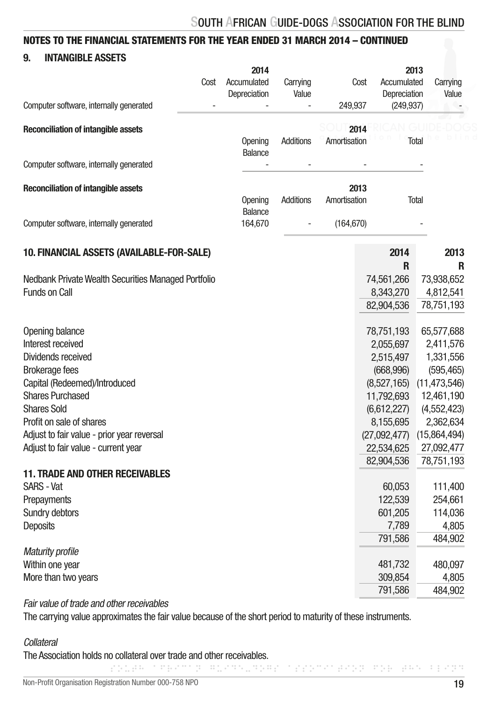# 9. INTANGIBLE ASSETS

|                                                                    | 2014           |           |              |              | 2013           |
|--------------------------------------------------------------------|----------------|-----------|--------------|--------------|----------------|
| Cost                                                               | Accumulated    | Carrying  | Cost         | Accumulated  | Carrying       |
|                                                                    | Depreciation   | Value     |              | Depreciation | Value          |
| Computer software, internally generated                            |                |           | 249,937      | (249, 937)   |                |
| <b>Reconciliation of intangible assets</b>                         |                |           | 2014         |              |                |
|                                                                    | Opening        | Additions | Amortisation |              | Total          |
|                                                                    | <b>Balance</b> |           |              |              |                |
| Computer software, internally generated                            |                |           |              |              |                |
| <b>Reconciliation of intangible assets</b>                         |                |           | 2013         |              |                |
|                                                                    | Opening        | Additions | Amortisation |              | Total          |
|                                                                    | Balance        |           |              |              |                |
| Computer software, internally generated                            | 164,670        |           | (164, 670)   |              |                |
| 10. FINANCIAL ASSETS (AVAILABLE-FOR-SALE)                          |                |           |              | 2014         | 2013           |
|                                                                    |                |           |              | R            | R              |
| Nedbank Private Wealth Securities Managed Portfolio                |                |           |              | 74,561,266   | 73,938,652     |
| <b>Funds on Call</b>                                               |                |           |              | 8,343,270    | 4,812,541      |
|                                                                    |                |           |              | 82,904,536   | 78,751,193     |
| Opening balance                                                    |                |           |              | 78,751,193   | 65,577,688     |
| Interest received                                                  |                |           |              | 2,055,697    | 2,411,576      |
| Dividends received                                                 |                |           |              | 2,515,497    | 1,331,556      |
| <b>Brokerage fees</b>                                              |                |           |              | (668, 996)   | (595, 465)     |
| Capital (Redeemed)/Introduced                                      |                |           |              | (8,527,165)  | (11, 473, 546) |
| <b>Shares Purchased</b>                                            |                |           |              | 11,792,693   | 12,461,190     |
| <b>Shares Sold</b>                                                 |                |           |              | (6,612,227)  | (4,552,423)    |
| Profit on sale of shares                                           |                |           |              | 8,155,695    | 2,362,634      |
| Adjust to fair value - prior year reversal                         |                |           |              | (27,092,477) | (15,864,494)   |
| Adjust to fair value - current year                                |                |           |              | 22,534,625   | 27,092,477     |
|                                                                    |                |           |              | 82,904,536   | 78,751,193     |
| <b>11. TRADE AND OTHER RECEIVABLES</b>                             |                |           |              |              |                |
| SARS - Vat                                                         |                |           |              | 60,053       | 111,400        |
| Prepayments                                                        |                |           |              | 122,539      | 254,661        |
| Sundry debtors                                                     |                |           |              | 601,205      | 114,036        |
| <b>Deposits</b>                                                    |                |           |              | 7,789        | 4,805          |
|                                                                    |                |           |              | 791,586      | 484,902        |
| <b>Maturity profile</b>                                            |                |           |              |              |                |
| Within one year                                                    |                |           |              | 481,732      | 480,097        |
| More than two years                                                |                |           |              | 309,854      | 4,805          |
|                                                                    |                |           |              | 791,586      | 484,902        |
| والماجر والمستحدث ويستطلعوا والمستقبل والمستقلة والمستحدث والمتلحظ |                |           |              |              |                |

Fair value of trade and other receivables

The carrying value approximates the fair value because of the short period to maturity of these instruments.

#### **Collateral**

The Association holds no collateral over trade and other receivables.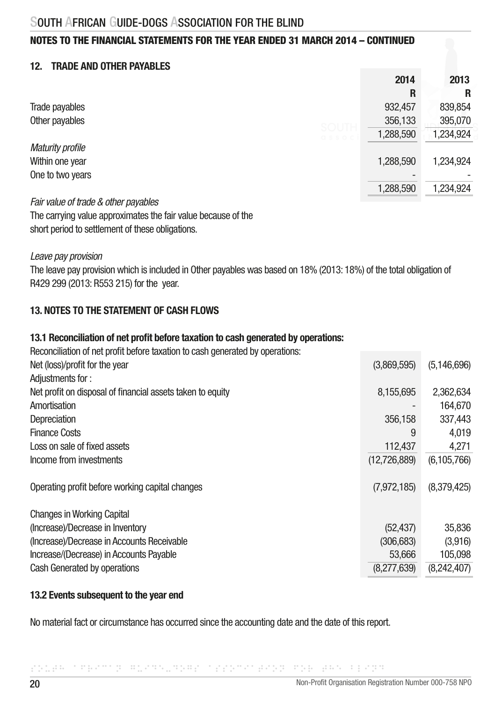# 12 TRADE AND OTHER PAYARI ES

|                         | 2014      | 2013      |
|-------------------------|-----------|-----------|
|                         | R         | R         |
| Trade payables          | 932,457   | 839,854   |
| Other payables<br>SOUTH | 356,133   | 395,070   |
| <b>QSSOC</b>            | 1,288,590 | 1,234,924 |
| <b>Maturity profile</b> |           |           |
| Within one year         | 1,288,590 | 1,234,924 |
| One to two years        |           |           |
|                         | 1,288,590 | 1,234,924 |

*Fair value of trade & other payables*

The carrying value approximates the fair value because of the short period to settlement of these obligations.

*Leave pay provision*

The leave pay provision which is included in Other payables was based on 18% (2013: 18%) of the total obligation of R429 299 (2013: R553 215) for the year.

# 13. NOTES TO THE STATEMENT OF CASH ELOWS

### 13.1 Reconciliation of net profit before taxation to cash generated by operations:

Reconciliation of net profit before taxation to cash generated by operations:

| Net (loss)/profit for the year                             | (3,869,595)  | (5, 146, 696) |
|------------------------------------------------------------|--------------|---------------|
| Adjustments for:                                           |              |               |
| Net profit on disposal of financial assets taken to equity | 8,155,695    | 2,362,634     |
| Amortisation                                               |              | 164,670       |
| Depreciation                                               | 356.158      | 337,443       |
| <b>Finance Costs</b>                                       | 9            | 4,019         |
| Loss on sale of fixed assets                               | 112,437      | 4,271         |
| Income from investments                                    | (12,726,889) | (6, 105, 766) |
| Operating profit before working capital changes            | (7,972,185)  | (8,379,425)   |
| <b>Changes in Working Capital</b>                          |              |               |
| (Increase)/Decrease in Inventory                           | (52, 437)    | 35,836        |
| (Increase)/Decrease in Accounts Receivable                 | (306, 683)   | (3,916)       |
| Increase/(Decrease) in Accounts Payable                    | 53,666       | 105,098       |
| Cash Generated by operations                               | (8,277,639)  | (8,242,407)   |

# 13.2 Events subsequent to the year end

No material fact or circumstance has occurred since the accounting date and the date of this report.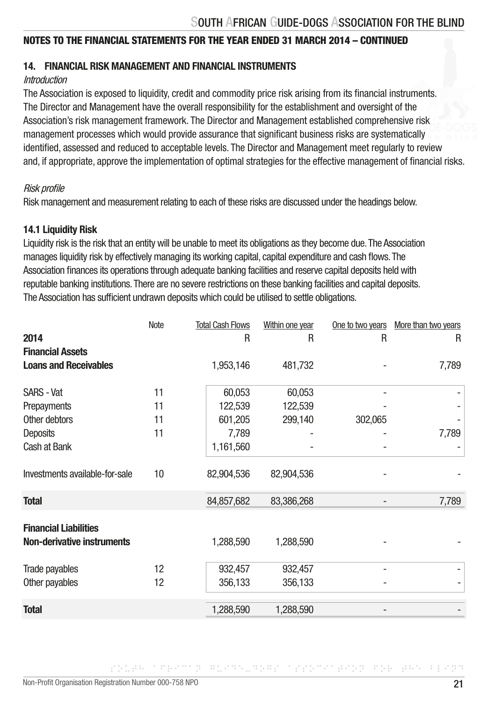# 14. FINANCIAL RISK MANAGEMENT AND FINANCIAL INSTRUMENTS

#### Introduction

The Association is exposed to liquidity, credit and commodity price risk arising from its financial instruments. The Director and Management have the overall responsibility for the establishment and oversight of the Association's risk management framework. The Director and Management established comprehensive risk management processes which would provide assurance that significant business risks are systematically identified, assessed and reduced to acceptable levels. The Director and Management meet regularly to review and, if appropriate, approve the implementation of optimal strategies for the effective management of financial risks.

#### Risk profile

Risk management and measurement relating to each of these risks are discussed under the headings below.

### 14.1 Liquidity Risk

Liquidity risk is the risk that an entity will be unable to meet its obligations as they become due. The Association manages liquidity risk by effectively managing its working capital, capital expenditure and cash flows. The Association finances its operations through adequate banking facilities and reserve capital deposits held with reputable banking institutions. There are no severe restrictions on these banking facilities and capital deposits. The Association has sufficient undrawn deposits which could be utilised to settle obligations.

|                                                                   | Note | <b>Total Cash Flows</b> | Within one year | One to two years | More than two years |
|-------------------------------------------------------------------|------|-------------------------|-----------------|------------------|---------------------|
| 2014                                                              |      | R                       | R               | R                | R                   |
| <b>Financial Assets</b>                                           |      |                         |                 |                  |                     |
| <b>Loans and Receivables</b>                                      |      | 1,953,146               | 481,732         |                  | 7,789               |
|                                                                   |      |                         |                 |                  |                     |
| <b>SARS - Vat</b>                                                 | 11   | 60,053                  | 60,053          |                  |                     |
| Prepayments                                                       | 11   | 122,539                 | 122,539         |                  |                     |
| Other debtors                                                     | 11   | 601,205                 | 299,140         | 302,065          |                     |
| Deposits                                                          | 11   | 7,789                   |                 |                  | 7,789               |
| Cash at Bank                                                      |      | 1,161,560               |                 |                  |                     |
| Investments available-for-sale                                    | 10   | 82,904,536              | 82,904,536      |                  |                     |
| <b>Total</b>                                                      |      | 84,857,682              | 83,386,268      |                  | 7,789               |
| <b>Financial Liabilities</b><br><b>Non-derivative instruments</b> |      | 1,288,590               | 1,288,590       |                  |                     |
|                                                                   |      |                         |                 |                  |                     |
| Trade payables                                                    | 12   | 932,457                 | 932,457         |                  |                     |
| Other payables                                                    | 12   | 356,133                 | 356,133         |                  |                     |
| <b>Total</b>                                                      |      | 1,288,590               | 1,288,590       |                  |                     |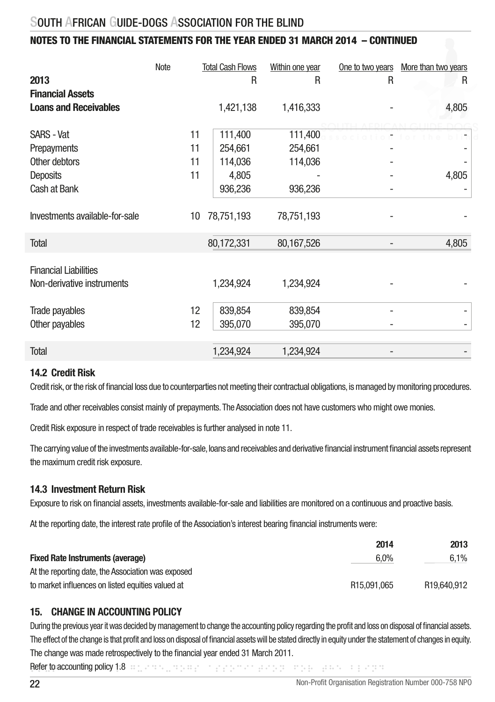# NOTES TO THE FINANCIAL STATEMENTS FOR THE YEAR ENDED 31 MARCH 2014 – CONTINUED

|                                | Note | <b>Total Cash Flows</b> | Within one year | One to two years | More than two years |
|--------------------------------|------|-------------------------|-----------------|------------------|---------------------|
| 2013                           |      | R                       | R               | R                | R                   |
| <b>Financial Assets</b>        |      |                         |                 |                  |                     |
| <b>Loans and Receivables</b>   |      | 1,421,138               | 1,416,333       |                  | 4,805               |
|                                |      |                         |                 |                  |                     |
| <b>SARS - Vat</b>              | 11   | 111,400                 | 111,400         |                  |                     |
| Prepayments                    | 11   | 254,661                 | 254,661         |                  |                     |
| Other debtors                  | 11   | 114,036                 | 114,036         |                  |                     |
| Deposits                       | 11   | 4,805                   |                 |                  | 4,805               |
| Cash at Bank                   |      | 936,236                 | 936,236         |                  |                     |
|                                |      |                         |                 |                  |                     |
| Investments available-for-sale | 10   | 78,751,193              | 78,751,193      |                  |                     |
|                                |      |                         |                 |                  |                     |
| <b>Total</b>                   |      | 80,172,331              | 80,167,526      |                  | 4,805               |
|                                |      |                         |                 |                  |                     |
| <b>Financial Liabilities</b>   |      |                         |                 |                  |                     |
| Non-derivative instruments     |      | 1,234,924               | 1,234,924       |                  |                     |
|                                |      |                         |                 |                  |                     |
| Trade payables                 | 12   | 839,854                 | 839,854         |                  |                     |
| Other payables                 | 12   | 395,070                 | 395,070         |                  |                     |
|                                |      |                         |                 |                  |                     |
| <b>Total</b>                   |      | 1,234,924               | 1,234,924       |                  |                     |
|                                |      |                         |                 |                  |                     |

### 14.2 Credit Risk

Credit risk, or the risk of financial loss due to counterparties not meeting their contractual obligations, is managed by monitoring procedures.

Trade and other receivables consist mainly of prepayments. The Association does not have customers who might owe monies.

Credit Risk exposure in respect of trade receivables is further analysed in note 11.

The carrying value of the investments available-for-sale, loans and receivables and derivative financial instrument financial assets represent the maximum credit risk exposure.

### 14.3 Investment Return Risk

Exposure to risk on financial assets, investments available-for-sale and liabilities are monitored on a continuous and proactive basis.

At the reporting date, the interest rate profile of the Association's interest bearing financial instruments were:

|                                                    | 2014                    | 2013                    |
|----------------------------------------------------|-------------------------|-------------------------|
| <b>Fixed Rate Instruments (average)</b>            | $6.0\%$                 | 6.1%                    |
| At the reporting date, the Association was exposed |                         |                         |
| to market influences on listed equities valued at  | R <sub>15.091.065</sub> | R <sub>19.640.912</sub> |

# 15. CHANGE IN ACCOUNTING POLICY

During the previous year it was decided by management to change the accounting policy regarding the profit and loss on disposal of financial assets. The effect of the change is that profit and loss on disposal of financial assets will be stated directly in equity under the statement of changes in equity. The change was made retrospectively to the financial year ended 31 March 2011.

Refer to accounting policy 1:8 or general general energy and the blinding construction for the beam of the bli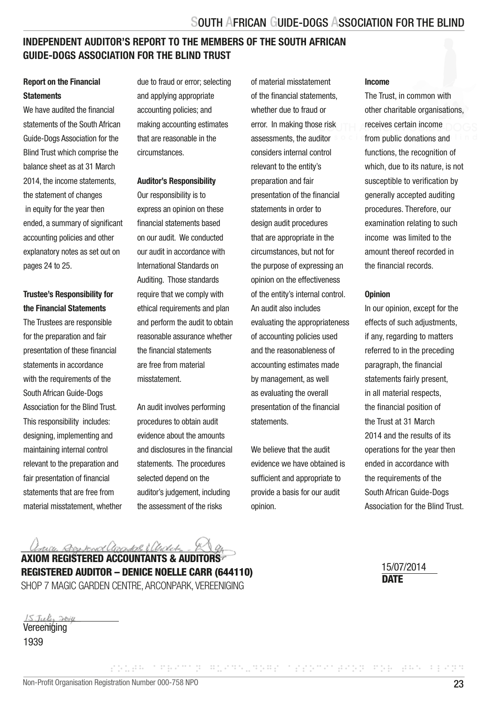# INDEPENDENT AUDITOR'S REPORT TO THE MEMBERS OF THE SOUTH AFRICAN GUIDE-DOGS ASSOCIATION FOR THE BLIND TRUST

#### Report on the Financial **Statements**

We have audited the financial statements of the South African Guide-Dogs Association for the Blind Trust which comprise the balance sheet as at 31 March 2014, the income statements the statement of changes in equity for the year then ended, a summary of significant accounting policies and other explanatory notes as set out on pages 24 to 25.

### Trustee's Responsibility for the Financial Statements

The Trustees are responsible for the preparation and fair presentation of these financial statements in accordance with the requirements of the South African Guide-Dogs Association for the Blind Trust. This responsibility includes: designing, implementing and maintaining internal control relevant to the preparation and fair presentation of financial statements that are free from material misstatement, whether due to fraud or error; selecting and applying appropriate accounting policies; and making accounting estimates that are reasonable in the circumstances.

#### Auditor's Responsibility

Our responsibility is to express an opinion on these financial statements based on our audit. We conducted our audit in accordance with International Standards on Auditing. Those standards require that we comply with ethical requirements and plan and perform the audit to obtain reasonable assurance whether the financial statements are free from material misstatement.

An audit involves performing procedures to obtain audit evidence about the amounts and disclosures in the financial statements. The procedures selected depend on the auditor's judgement, including the assessment of the risks

of material misstatement of the financial statements, whether due to fraud or error. In making those risk assessments, the auditor considers internal control relevant to the entity's preparation and fair presentation of the financial statements in order to design audit procedures that are appropriate in the circumstances, but not for the purpose of expressing an opinion on the effectiveness of the entity's internal control. An audit also includes evaluating the appropriateness of accounting policies used and the reasonableness of accounting estimates made by management, as well as evaluating the overall presentation of the financial statements.

We believe that the audit evidence we have obtained is sufficient and appropriate to provide a basis for our audit opinion.

SOUTH AFRICAN GUIDE-DOGS ASSOCIATION FOR THE BLIND

#### Income

The Trust, in common with other charitable organisations, receives certain income from public donations and functions, the recognition of which, due to its nature, is not susceptible to verification by generally accepted auditing procedures. Therefore, our examination relating to such income was limited to the amount thereof recorded in the financial records.

#### **Opinion**

In our opinion, except for the effects of such adjustments, if any, regarding to matters referred to in the preceding paragraph, the financial statements fairly present, in all material respects, the financial position of the Trust at 31 March 2014 and the results of its operations for the year then ended in accordance with the requirements of the South African Guide-Dogs Association for the Blind Trust.

arre Rosema americal & Clevelete

AXIOM REGISTERED ACCOUNTANTS & AUDITORS REGISTERED AUDITOR – DENICE NOELLE CARR (644110) SHOP 7 MAGIC GARDEN CENTRE, ARCONPARK, VEREENIGING DATE

15/07/2014

| Vereeniqing |  |
|-------------|--|

1939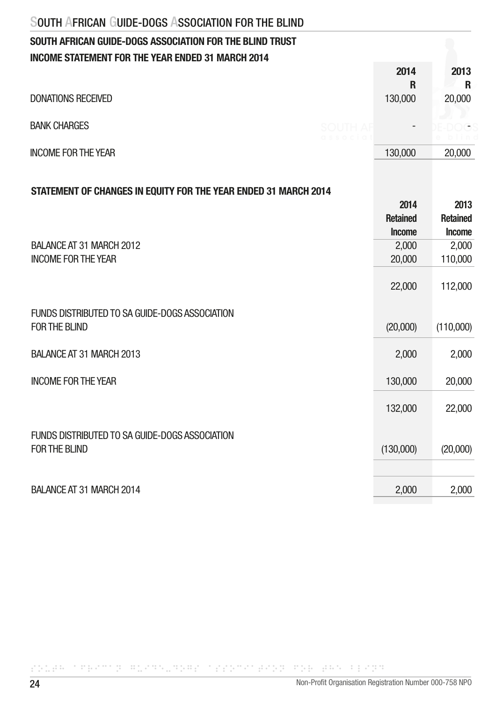# SOUTH AFRICAN GUIDE-DOGS ASSOCIATION FOR THE BLIND TRUST INCOME STATEMENT FOR THE YEAR ENDED 31 MARCH 2014

|                            | 2014                                        | 2013           |
|----------------------------|---------------------------------------------|----------------|
|                            | R                                           | R              |
| <b>DONATIONS RECEIVED</b>  | 130,000                                     | 20,000         |
| <b>BANK CHARGES</b>        | <b>SOUTH AF</b><br>$\overline{\phantom{a}}$ |                |
| <b>INCOME FOR THE YEAR</b> | associal<br>130,000                         | blin<br>20,000 |

## STATEMENT OF CHANGES IN EQUITY FOR THE YEAR ENDED 31 MARCH 2014

| 2014                             | 2013                             |
|----------------------------------|----------------------------------|
| <b>Retained</b><br><b>Income</b> | <b>Retained</b><br><b>Income</b> |
| 2,000                            | 2,000                            |
| 20,000                           | 110,000                          |
| 22,000                           | 112,000                          |
|                                  |                                  |
|                                  | (110,000)                        |
|                                  |                                  |
| 2,000                            | 2,000                            |
|                                  |                                  |
| 130,000                          | 20,000                           |
|                                  |                                  |
| 132,000                          | 22,000                           |
|                                  |                                  |
|                                  |                                  |
|                                  | (20,000)                         |
|                                  |                                  |
|                                  | 2,000                            |
|                                  |                                  |
|                                  | (20,000)<br>(130,000)<br>2,000   |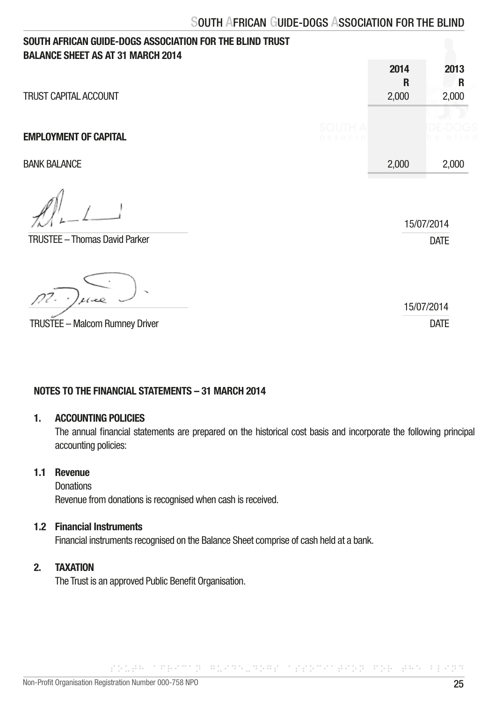| SOUTH AFRICAN GUIDE-DOGS ASSOCIATION FOR THE BLIND TRUST<br><b>BALANCE SHEET AS AT 31 MARCH 2014</b> |        |                    |                           |
|------------------------------------------------------------------------------------------------------|--------|--------------------|---------------------------|
| TRUST CAPITAL ACCOUNT                                                                                |        | 2014<br>R<br>2,000 | 2013<br>R<br>2,000        |
| <b>EMPLOYMENT OF CAPITAL</b>                                                                         | SOLITH |                    |                           |
| <b>BANK BALANCE</b>                                                                                  |        | 2,000              | 2,000                     |
| <b>TRUSTEE - Thomas David Parker</b>                                                                 |        |                    | 15/07/2014<br><b>DATE</b> |
| $\tilde{\phantom{a}}$<br>1000                                                                        |        |                    | 15/07/2014                |
| <b>TRUSTEE - Malcom Rumney Driver</b>                                                                |        |                    | <b>DATE</b>               |

### NOTES TO THE FINANCIAL STATEMENTS – 31 MARCH 2014

#### 1. ACCOUNTING POLICIES

 The annual financial statements are prepared on the historical cost basis and incorporate the following principal accounting policies:

SOUTH AFRICAN GUIDE-DOGS ASSOCIATION FOR THE BLIND

# 1.1 Revenue

**Donations** Revenue from donations is recognised when cash is received.

#### 1.2 Financial Instruments

Financial instruments recognised on the Balance Sheet comprise of cash held at a bank.

# 2. TAXATION

The Trust is an approved Public Benefit Organisation.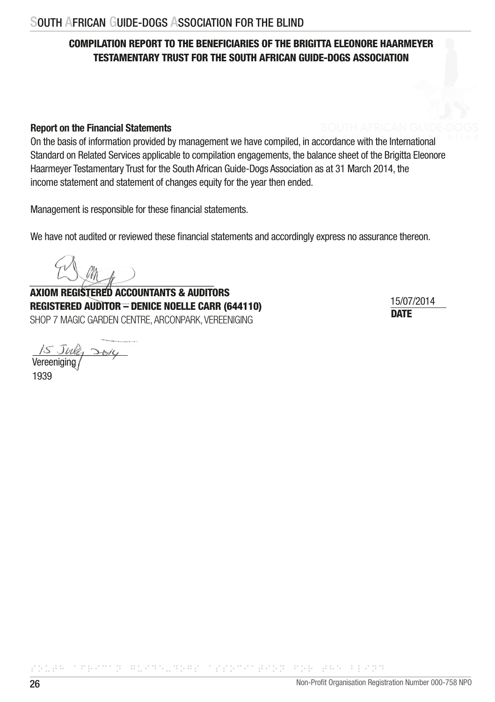# COMPILATION REPORT TO THE BENEFICIARIES OF THE BRIGITTA ELEONORE HAARMEYER TESTAMENTARY TRUST FOR THE SOUTH AFRICAN GUIDE-DOGS ASSOCIATION

### Report on the Financial Statements

On the basis of information provided by management we have compiled, in accordance with the International Standard on Related Services applicable to compilation engagements, the balance sheet of the Brigitta Eleonore Haarmeyer Testamentary Trust for the South African Guide-Dogs Association as at 31 March 2014, the income statement and statement of changes equity for the year then ended.

Management is responsible for these financial statements.

We have not audited or reviewed these financial statements and accordingly express no assurance thereon.

AXIOM REGISTERED ACCOUNTANTS & AUDITORS REGISTERED AUDITOR – DENICE NOELLE CARR (644110) SHOP 7 MAGIC GARDEN CENTRE, ARCONPARK, VEREENIGING DATE DATE DATE

15/07/2014

Vereeniging

1939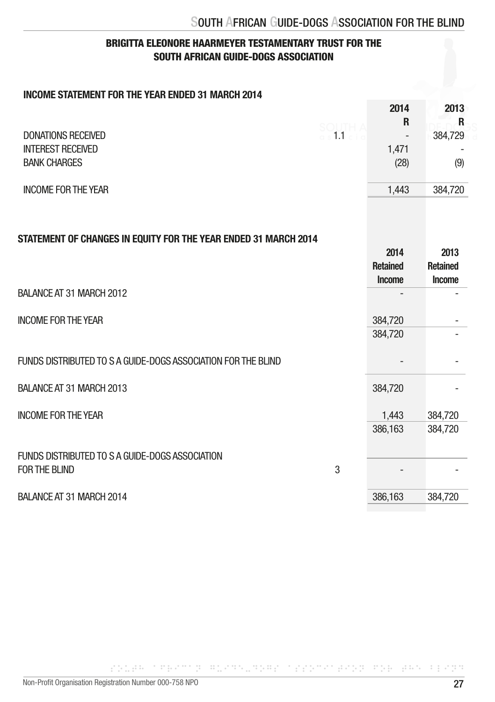# BRIGITTA ELEONORE HAARMEYER TESTAMENTARY TRUST FOR THE SOUTH AFRICAN GUIDE-DOGS ASSOCIATION

## INCOME STATEMENT FOR THE YEAR ENDED 31 MARCH 2014

|                                                                 |                                | 2014                              | 2013                              |
|-----------------------------------------------------------------|--------------------------------|-----------------------------------|-----------------------------------|
|                                                                 |                                | R                                 | R                                 |
| <b>DONATIONS RECEIVED</b>                                       | SOUTH A<br>a s <b>1.1</b> clie |                                   | 384,729                           |
| <b>INTEREST RECEIVED</b>                                        |                                | 1,471                             |                                   |
| <b>BANK CHARGES</b>                                             |                                | (28)                              | (9)                               |
| <b>INCOME FOR THE YEAR</b>                                      |                                | 1,443                             | 384,720                           |
| STATEMENT OF CHANGES IN EQUITY FOR THE YEAR ENDED 31 MARCH 2014 |                                | 2014<br><b>Retained</b><br>Income | 2013<br><b>Retained</b><br>Income |
| BALANCE AT 31 MARCH 2012                                        |                                |                                   |                                   |
| <b>INCOME FOR THE YEAR</b>                                      |                                | 384,720                           |                                   |
|                                                                 |                                | 384,720                           |                                   |
| FUNDS DISTRIBUTED TO S A GUIDE-DOGS ASSOCIATION FOR THE BLIND   |                                |                                   |                                   |
| BALANCE AT 31 MARCH 2013                                        |                                | 384,720                           |                                   |
| <b>INCOME FOR THE YEAR</b>                                      |                                | 1,443                             | 384,720                           |
|                                                                 |                                | 386,163                           | 384,720                           |
| FUNDS DISTRIBUTED TO S A GUIDE-DOGS ASSOCIATION                 |                                |                                   |                                   |
| <b>FOR THE BLIND</b>                                            | 3                              |                                   |                                   |
| BALANCE AT 31 MARCH 2014                                        |                                | 386,163                           | 384,720                           |
|                                                                 |                                |                                   |                                   |